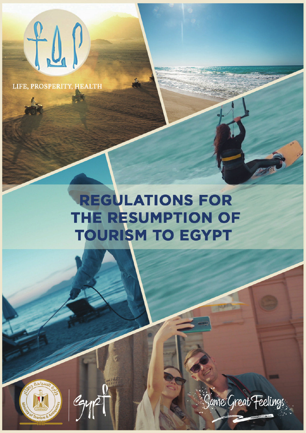

LIFE, PROSPERITY, HEALTH

# **REGULATIONS FOR** THE RESUMPTION OF **TOURISM TO EGYPT**





Jame Great Feelings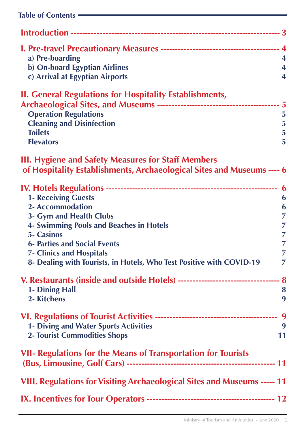| Table of Contents —                                                      |                |
|--------------------------------------------------------------------------|----------------|
|                                                                          |                |
|                                                                          |                |
| a) Pre-boarding                                                          |                |
| b) On-board Egyptian Airlines                                            | 4              |
| c) Arrival at Egyptian Airports                                          | 4              |
| <b>II. General Regulations for Hospitality Establishments,</b>           |                |
|                                                                          |                |
| <b>Operation Regulations</b>                                             | $\overline{5}$ |
| <b>Cleaning and Disinfection</b>                                         | 5              |
| <b>Toilets</b>                                                           | 5              |
| <b>Elevators</b>                                                         | 5              |
| <b>III. Hygiene and Safety Measures for Staff Members</b>                |                |
| of Hospitality Establishments, Archaeological Sites and Museums ---- 6   |                |
|                                                                          | 6              |
| <b>1- Receiving Guests</b>                                               | 6              |
| <b>2- Accommodation</b>                                                  | 6              |
| 3- Gym and Health Clubs                                                  | 7              |
| <b>4- Swimming Pools and Beaches in Hotels</b>                           | 7              |
| <b>5- Casinos</b>                                                        | 7              |
| <b>6- Parties and Social Events</b>                                      |                |
| <b>7- Clinics and Hospitals</b>                                          | $\overline{7}$ |
| 8- Dealing with Tourists, in Hotels, Who Test Positive with COVID-19     | $\overline{7}$ |
|                                                                          |                |
| 1- Dining Hall                                                           | 8              |
| 2- Kitchens                                                              | 9              |
|                                                                          |                |
| <b>1- Diving and Water Sports Activities</b>                             | 9              |
| <b>2- Tourist Commodities Shops</b>                                      | 11             |
| <b>VII. Regulations for the Means of Transportation for Tourists</b>     |                |
|                                                                          |                |
| VIII. Regulations for Visiting Archaeological Sites and Museums ----- 11 |                |
|                                                                          |                |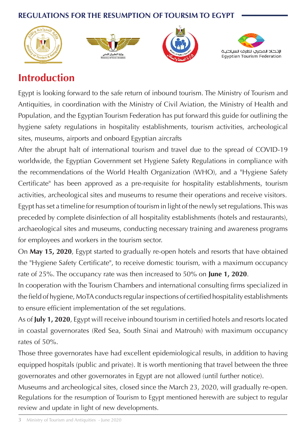







# **Introduction**

Egypt is looking forward to the safe return of inbound tourism. The Ministry of Tourism and Antiquities, in coordination with the Ministry of Civil Aviation, the Ministry of Health and Population, and the Egyptian Tourism Federation has put forward this guide for outlining the hygiene safety regulations in hospitality establishments, tourism activities, archeological sites, museums, airports and onboard Egyptian aircrafts

After the abrupt halt of international tourism and travel due to the spread of COVID-19 worldwide, the Egyptian Government set Hygiene Safety Regulations in compliance with the recommendations of the World Health Organization (WHO), and a "Hygiene Safety Certificate" has been approved as a pre-requisite for hospitality establishments, tourism activities, archeological sites and museums to resume their operations and receive visitors. Egypt has set a timeline for resumption of tourism in light of the newly set regulations. This was preceded by complete disinfection of all hospitality establishments (hotels and restaurants), archaeological sites and museums, conducting necessary training and awareness programs for employees and workers in the tourism sector.

On May 15, 2020, Egypt started to gradually re-open hotels and resorts that have obtained the "Hygiene Safety Certificate", to receive domestic tourism, with a maximum occupancy rate of 25%. The occupancy rate was then increased to 50% on **June 1, 2020**.

In cooperation with the Tourism Chambers and international consulting firms specialized in the field of hygiene, MoTA conducts regular inspections of certified hospitality establishments to ensure efficient implementation of the set regulations.

As of **July 1, 2020**, Egypt will receive inbound tourism in certified hotels and resorts located in coastal governorates (Red Sea, South Sinai and Matrouh) with maximum occupancy rates of  $50\%$ .

Those three governorates have had excellent epidemiological results, in addition to having equipped hospitals (public and private). It is worth mentioning that travel between the three governorates and other governorates in Egypt are not allowed (until further notice).

Museums and archeological sites, closed since the March 23, 2020, will gradually re-open. Regulations for the resumption of Tourism to Egypt mentioned herewith are subject to regular review and update in light of new developments.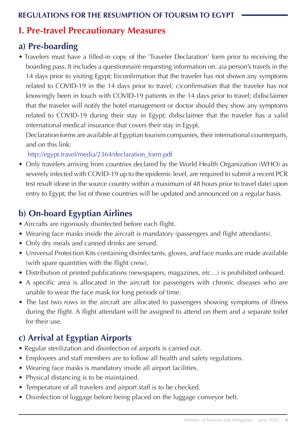### **I. Pre-travel Precautionary Measures**

### a) Pre-boarding

• Travelers must have a filled-in copy of the 'Traveler Declaration' form prior to receiving the boarding pass. It includes a questionnaire requesting information on: a)a person's travels in the 14 days prior to visiting Egypt; b)confirmation that the traveler has not shown any symptoms related to COVID-19 in the 14 days prior to travel; c) confirmation that the traveler has not knowingly been in touch with COVID-19 patients in the 14 days prior to travel; d) disclaimer that the traveler will notify the hotel management or doctor should they show any symptoms related to COVID-19 during their stay in Egypt; d)disclaimer that the traveler has a valid international medical insurance that covers their stay in Egypt.

Declaration forms are available at Egyptian tourism companies, their international counterparts, and on this link:

http://egypt.travel/media/2364/declaration form.pdf

• Only travelers arriving from countries declared by the World Health Organization (WHO) as severely infected with COVID-19 up to the epidemic level, are required to submit a recent PCR test result (done in the source country within a maximum of 48 hours prior to travel date) upon entry to Egypt; the list of those countries will be updated and announced on a regular basis.

# **b**) On-board Egyptian Airlines

- Aircrafts are rigorously disinfected before each flight.
- Wearing face masks inside the aircraft is mandatory (passengers and flight attendants).
- Only dry meals and canned drinks are served.
- Universal Protection Kits containing disinfectants, gloves, and face masks are made available (with spare quantities with the flight crew).
- Distribution of printed publications (newspapers, magazines, etc...) is prohibited onboard.
- A specific area is allocated in the aircraft for passengers with chronic diseases who are unable to wear the face mask for long periods of time.
- The last two rows in the aircraft are allocated to passengers showing symptoms of illness during the flight. A flight attendant will be assigned to attend on them and a separate toilet for their use.

### **c**) Arrival at Egyptian Airports

- Regular sterilization and disinfection of airports is carried out.
- Employees and staff members are to follow all health and safety regulations.
- Wearing face masks is mandatory inside all airport facilities.
- Physical distancing is to be maintained.
- Temperature of all travelers and airport staff is to be checked.
- Disinfection of luggage before being placed on the luggage conveyor belt.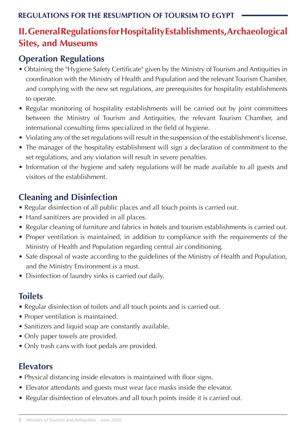# **II. General Regulations for Hospitality Establishments, Archaeological Sites, and Museums**

### **Operation Regulations**

- Obtaining the "Hygiene Safety Certificate" given by the Ministry of Tourism and Antiquities in coordination with the Ministry of Health and Population and the relevant Tourism Chamber, and complying with the new set regulations, are prerequisites for hospitality establishments to operate.
- Regular monitoring of hospitality establishments will be carried out by joint committees between the Ministry of Tourism and Antiquities, the relevant Tourism Chamber, and international consulting firms specialized in the field of hygiene.
- Violating any of the set regulations will result in the suspension of the establishment's license.
- The manager of the hospitality establishment will sign a declaration of commitment to the set regulations, and any violation will result in severe penalties.
- Information of the hygiene and safety regulations will be made available to all guests and visitors of the establishment.

# **Cleaning and Disinfection**

- Regular disinfection of all public places and all touch points is carried out.
- Hand sanitizers are provided in all places.
- Regular cleaning of furniture and fabrics in hotels and tourism establishments is carried out.
- Proper ventilation is maintained, in addition to compliance with the requirements of the Ministry of Health and Population regarding central air conditioning.
- Safe disposal of waste according to the guidelines of the Ministry of Health and Population, and the Ministry Environment is a must.
- Disinfection of laundry sinks is carried out daily.

# **Toilets**

- Regular disinfection of toilets and all touch points and is carried out.
- Proper ventilation is maintained.
- Sanitizers and liquid soap are constantly available.
- Only paper towels are provided.
- Only trash cans with foot pedals are provided.

### **Elevators**

- Physical distancing inside elevators is maintained with floor signs.
- Elevator attendants and guests must wear face masks inside the elevator.
- Regular disinfection of elevators and all touch points inside it is carried out.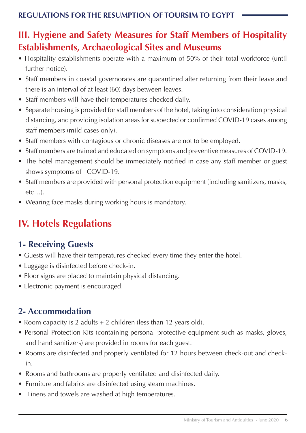# **III. Hygiene and Safety Measures for Staff Members of Hospitality Establishments, Archaeological Sites and Museums**

- Hospitality establishments operate with a maximum of 50% of their total workforce (until further notice).
- Staff members in coastal governorates are quarantined after returning from their leave and there is an interval of at least (60) days between leaves.
- Staff members will have their temperatures checked daily.
- Separate housing is provided for staff members of the hotel, taking into consideration physical distancing, and providing isolation areas for suspected or confirmed COVID-19 cases among staff members (mild cases only).
- Staff members with contagious or chronic diseases are not to be employed.
- Staff members are trained and educated on symptoms and preventive measures of COVID-19.
- The hotel management should be immediately notified in case any staff member or guest shows symptoms of COVID-19.
- Staff members are provided with personal protection equipment (including sanitizers, masks,  $etc...$ ).
- Wearing face masks during working hours is mandatory.

# **IV. Hotels Regulations**

# **1- Receiving Guests**

- Guests will have their temperatures checked every time they enter the hotel.
- Luggage is disinfected before check-in.
- Floor signs are placed to maintain physical distancing.
- Electronic payment is encouraged.

# **Accommodation 2-**

- Room capacity is 2 adults  $+ 2$  children (less than 12 years old).
- Personal Protection Kits (containing personal protective equipment such as masks, gloves, and hand sanitizers) are provided in rooms for each guest.
- Rooms are disinfected and properly ventilated for 12 hours between check-out and check-<br>in.
- Rooms and bathrooms are properly ventilated and disinfected daily.
- Furniture and fabrics are disinfected using steam machines.
- Linens and towels are washed at high temperatures.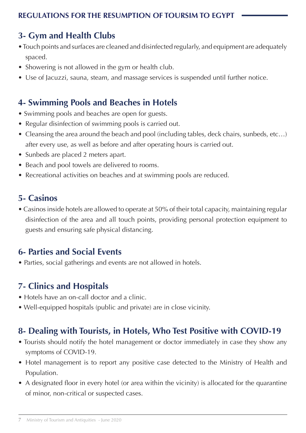### **3- Gym and Health Clubs**

- Touch points and surfaces are cleaned and disinfected regularly, and equipment are adequately .spaced
- Showering is not allowed in the gym or health club.
- Use of Jacuzzi, sauna, steam, and massage services is suspended until further notice.

### **4- Swimming Pools and Beaches in Hotels**

- Swimming pools and beaches are open for guests.
- Regular disinfection of swimming pools is carried out.
- Cleansing the area around the beach and pool (including tables, deck chairs, sunbeds, etc...) after every use, as well as before and after operating hours is carried out.
- Sunbeds are placed 2 meters apart.
- Beach and pool towels are delivered to rooms.
- Recreational activities on beaches and at swimming pools are reduced.

# **Casinos 5-**

• Casinos inside hotels are allowed to operate at 50% of their total capacity, maintaining regular disinfection of the area and all touch points, providing personal protection equipment to guests and ensuring safe physical distancing.

### **6- Parties and Social Events**

• Parties, social gatherings and events are not allowed in hotels.

### **7- Clinics and Hospitals**

- Hotels have an on-call doctor and a clinic.
- Well-equipped hospitals (public and private) are in close vicinity.

### **8- Dealing with Tourists, in Hotels, Who Test Positive with COVID-19**

- Tourists should notify the hotel management or doctor immediately in case they show any symptoms of COVID-19.
- Hotel management is to report any positive case detected to the Ministry of Health and .Population
- A designated floor in every hotel (or area within the vicinity) is allocated for the quarantine of minor, non-critical or suspected cases.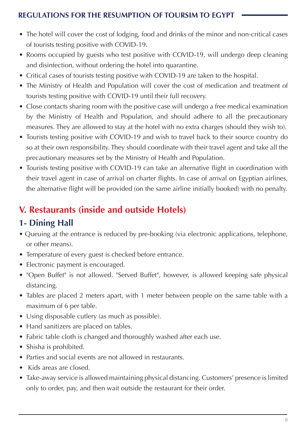- The hotel will cover the cost of lodging, food and drinks of the minor and non-critical cases of tourists testing positive with COVID-19.
- Rooms occupied by guests who test positive with COVID-19, will undergo deep cleaning and disinfection, without ordering the hotel into quarantine.
- Critical cases of tourists testing positive with COVID-19 are taken to the hospital.
- The Ministry of Health and Population will cover the cost of medication and treatment of tourists testing positive with COVID-19 until their full recovery.
- Close contacts sharing room with the positive case will undergo a free medical examination by the Ministry of Health and Population, and should adhere to all the precautionary measures. They are allowed to stay at the hotel with no extra charges (should they wish to).
- Tourists testing positive with COVID-19 and wish to travel back to their source country do so at their own responsibility. They should coordinate with their travel agent and take all the precautionary measures set by the Ministry of Health and Population.
- Tourists testing positive with COVID-19 can take an alternative flight in coordination with their travel agent in case of arrival on charter flights. In case of arrival on Egyptian airlines, the alternative flight will be provided (on the same airline initially booked) with no penalty.

# **V. Restaurants (inside and outside Hotels)**

### **1- Dining Hall**

- Queuing at the entrance is reduced by pre-booking (via electronic applications, telephone, or other means).
- Temperature of every guest is checked before entrance.
- Electronic payment is encouraged.
- "Open Buffet" is not allowed. "Served Buffet", however, is allowed keeping safe physical distancing.
- Tables are placed 2 meters apart, with 1 meter between people on the same table with a maximum of 6 per table.
- Using disposable cutlery (as much as possible).
- Hand sanitizers are placed on tables.
- Fabric table cloth is changed and thoroughly washed after each use.
- Shisha is prohibited.
- Parties and social events are not allowed in restaurants.
- Kids areas are closed.
- Take-away service is allowed maintaining physical distancing. Customers' presence is limited only to order, pay, and then wait outside the restaurant for their order.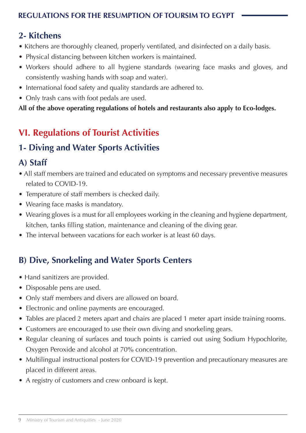### **Kitchens 2-**

- Kitchens are thoroughly cleaned, properly ventilated, and disinfected on a daily basis.
- Physical distancing between kitchen workers is maintained.
- Workers should adhere to all hygiene standards (wearing face masks and gloves, and consistently washing hands with soap and water).
- International food safety and quality standards are adhered to.
- Only trash cans with foot pedals are used.

All of the above operating regulations of hotels and restaurants also apply to Eco-lodges.

# **VI. Regulations of Tourist Activities**

# **1- Diving and Water Sports Activities**

# **Staff) A**

- All staff members are trained and educated on symptoms and necessary preventive measures related to COVID-19.
- Temperature of staff members is checked daily.
- Wearing face masks is mandatory.
- Wearing gloves is a must for all employees working in the cleaning and hygiene department, kitchen, tanks filling station, maintenance and cleaning of the diving gear.
- The interval between vacations for each worker is at least 60 days.

### **B**) Dive, Snorkeling and Water Sports Centers

- Hand sanitizers are provided.
- Disposable pens are used.
- Only staff members and divers are allowed on board.
- Electronic and online payments are encouraged.
- Tables are placed 2 meters apart and chairs are placed 1 meter apart inside training rooms.
- Customers are encouraged to use their own diving and snorkeling gears.
- Regular cleaning of surfaces and touch points is carried out using Sodium Hypochlorite, Oxygen Peroxide and alcohol at 70% concentration.
- Multilingual instructional posters for COVID-19 prevention and precautionary measures are placed in different areas.
- A registry of customers and crew onboard is kept.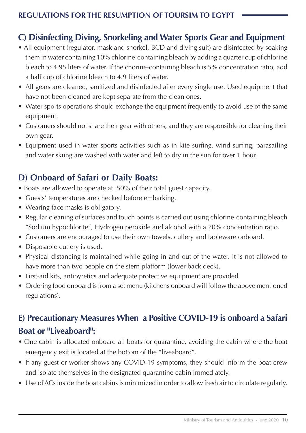# **C**) Disinfecting Diving, Snorkeling and Water Sports Gear and Equipment

- All equipment (regulator, mask and snorkel, BCD and diving suit) are disinfected by soaking them in water containing 10% chlorine-containing bleach by adding a quarter cup of chlorine bleach to 4.95 liters of water. If the chorine-containing bleach is 5% concentration ratio, add a half cup of chlorine bleach to 4.9 liters of water.
- All gears are cleaned, sanitized and disinfected after every single use. Used equipment that have not been cleaned are kept separate from the clean ones.
- Water sports operations should exchange the equipment frequently to avoid use of the same .equipment
- Customers should not share their gear with others, and they are responsible for cleaning their own gear.
- Equipment used in water sports activities such as in kite surfing, wind surfing, parasailing and water skiing are washed with water and left to dry in the sun for over 1 hour.

# **D) Onboard of Safari or Daily Boats:**

- Boats are allowed to operate at 50% of their total guest capacity.
- Guests' temperatures are checked before embarking.
- Wearing face masks is obligatory.
- Regular cleaning of surfaces and touch points is carried out using chlorine-containing bleach "Sodium hypochlorite", Hydrogen peroxide and alcohol with a 70% concentration ratio.
- Customers are encouraged to use their own towels, cutlery and tableware onboard.
- Disposable cutlery is used.
- Physical distancing is maintained while going in and out of the water. It is not allowed to have more than two people on the stern platform (lower back deck).
- First-aid kits, antipyretics and adequate protective equipment are provided.
- Ordering food onboard is from a set menu (kitchens onboard will follow the above mentioned regulations).

# **E) Precautionary Measures When a Positive COVID-19 is onboard a Safari Boat or "Liveaboard":**

- One cabin is allocated onboard all boats for quarantine, avoiding the cabin where the boat emergency exit is located at the bottom of the "liveaboard".
- If any guest or worker shows any COVID-19 symptoms, they should inform the boat crew and isolate themselves in the designated quarantine cabin immediately.
- Use of ACs inside the boat cabins is minimized in order to allow fresh air to circulate regularly.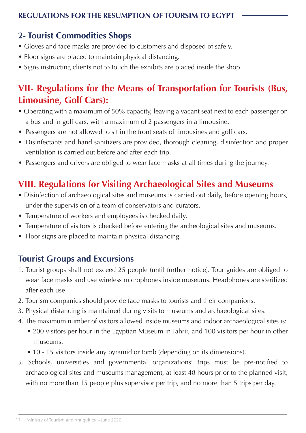### **2- Tourist Commodities Shops**

- Gloves and face masks are provided to customers and disposed of safely.
- Floor signs are placed to maintain physical distancing.
- Signs instructing clients not to touch the exhibits are placed inside the shop.

# **VII- Regulations for the Means of Transportation for Tourists (Bus, Limousine, Golf Cars):**

- Operating with a maximum of 50% capacity, leaving a vacant seat next to each passenger on a bus and in golf cars, with a maximum of 2 passengers in a limousine.
- Passengers are not allowed to sit in the front seats of limousines and golf cars.
- Disinfectants and hand sanitizers are provided, thorough cleaning, disinfection and proper ventilation is carried out before and after each trip.
- Passengers and drivers are obliged to wear face masks at all times during the journey.

# **VIII. Regulations for Visiting Archaeological Sites and Museums**

- Disinfection of archaeological sites and museums is carried out daily, before opening hours, under the supervision of a team of conservators and curators.
- Temperature of workers and employees is checked daily.
- Temperature of visitors is checked before entering the archeological sites and museums.
- Floor signs are placed to maintain physical distancing.

### **Tourist Groups and Excursions**

- 1. Tourist groups shall not exceed 25 people (until further notice). Tour guides are obliged to wear face masks and use wireless microphones inside museums. Headphones are sterilized after each use
- 2. Tourism companies should provide face masks to tourists and their companions.
- 3. Physical distancing is maintained during visits to museums and archaeological sites.
- 4. The maximum number of visitors allowed inside museums and indoor archaeological sites is:
	- 200 visitors per hour in the Egyptian Museum in Tahrir, and 100 visitors per hour in other .museums
	- 10 15 visitors inside any pyramid or tomb (depending on its dimensions).
- 5. Schools, universities and governmental organizations' trips must be pre-notified to archaeological sites and museums management, at least 48 hours prior to the planned visit, with no more than 15 people plus supervisor per trip, and no more than 5 trips per day.